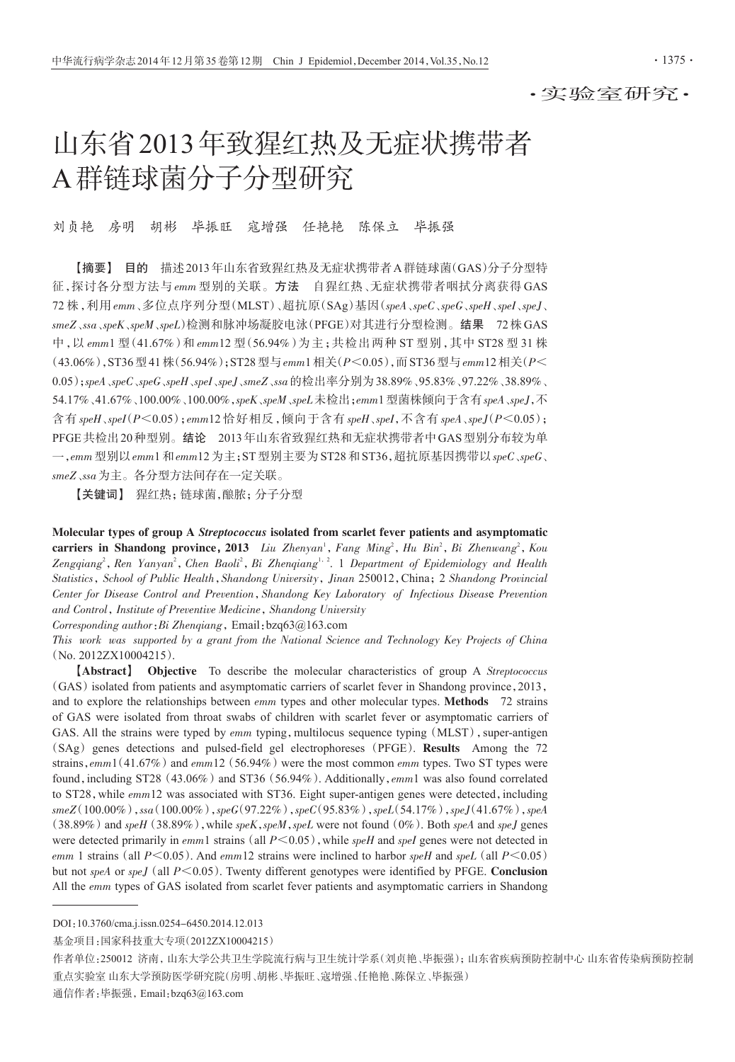## 山东省2013年致猩红热及无症状携带者 A群链球菌分子分型研究

刘贞艳 房明 胡彬 毕振旺 寇增强 任艳艳 陈保立 毕振强

【摘要】 目的 描述2013年山东省致猩红热及无症状携带者A群链球菌(GAS)分子分型特 征,探讨各分型方法与 emm 型别的关联。方法 自猩红热、无症状携带者咽拭分离获得 GAS 72 株,利用 emm、多位点序列分型(MLST)、超抗原(SAg)基因(speA、speC、speG、speH、speI、speJ、 smeZ、ssa、speK、speM、speL)检测和脉冲场凝胶电泳(PFGE)对其进行分型检测。结果 72株GAS 中,以 emm1 型(41.67%)和 emm12 型(56.94%)为主;共检出两种 ST 型别,其中 ST28 型 31 株 (43.06%),ST36型41株(56.94%);ST28型与emm1相关(P<0.05),而ST36型与emm12相关(P< 0.05);speA、speC、speG、speH、speI、speJ、smeZ、ssa的检出率分别为38.89%、95.83%、97.22%、38.89%、 54.17%、41.67%、100.00%、100.00%,speK、speM、speL未检出;emm1型菌株倾向于含有speA、speJ,不 含有  $spel\_{spel}(P<0.05)$ ; emm12 恰好相反,倾向于含有  $spel\_{spel}$ ,  $\overline{P}$ 含有  $spel\_{spel}(P<0.05)$ ; PFGE共检出20种型别。结论 2013年山东省致猩红热和无症状携带者中GAS型别分布较为单  $-$ ,emm 型别以emm1 和emm12 为主;ST型别主要为ST28 和ST36,超抗原基因携带以speC、speG、 smeZ、ssa为主。各分型方法间存在一定关联。

【关键词】 猩红热;链球菌,酿脓;分子分型

Molecular types of group A Streptococcus isolated from scarlet fever patients and asymptomatic **carriers in Shandong province, 2013** Liu Zhenyan<sup>1</sup>, Fang Ming<sup>2</sup>, Hu Bin<sup>2</sup>, Bi Zhenwang<sup>2</sup>, Kou Zengqiang<sup>2</sup>, Ren Yanyan<sup>2</sup>, Chen Baoli<sup>2</sup>, Bi Zhenqiang<sup>1, 2</sup>. 1 Department of Epidemiology and Health Statistics, School of Public Health, Shandong University, Jinan 250012, China; 2 Shandong Provincial Center for Disease Control and Prevention, Shandong Key Laboratory of Infectious Disease Prevention and Control, Institute of Preventive Medicine, Shandong University

Corresponding author:Bi Zhenqiang,Email:bzq63@163.com

This work was supported by a grant from the National Science and Technology Key Projects of China (No. 2012ZX10004215).

【Abstract】 Objective To describe the molecular characteristics of group A Streptococcus (GAS)isolated from patients and asymptomatic carriers of scarlet fever in Shandong province,2013, and to explore the relationships between *emm* types and other molecular types. Methods 72 strains of GAS were isolated from throat swabs of children with scarlet fever or asymptomatic carriers of GAS. All the strains were typed by  $emm$  typing, multilocus sequence typing (MLST), super-antigen (SAg) genes detections and pulsed-field gel electrophoreses (PFGE). Results Among the 72 strains,  $emm1(41.67%)$  and  $emm12(56.94%)$  were the most common  $emm$  types. Two ST types were found, including ST28 (43.06%) and ST36 (56.94%). Additionally,  $emm1$  was also found correlated to ST28, while  $emm12$  was associated with ST36. Eight super-antigen genes were detected, including  $smeZ(100.00\%)$ ,  $ssa(100.00\%)$ ,  $speG(97.22\%)$ ,  $speC(95.83\%)$ ,  $spel(54.17\%)$ ,  $spel(41.67\%)$ ,  $sped$  $(38.89\%)$  and speH  $(38.89\%)$ , while speK, speM, speL were not found  $(0\%)$ . Both speA and speJ genes were detected primarily in  $emm1$  strains (all  $P \le 0.05$ ), while speH and speI genes were not detected in emm 1 strains (all  $P \le 0.05$ ). And emm12 strains were inclined to harbor speH and speL (all  $P \le 0.05$ ) but not speA or speJ (all  $P \le 0.05$ ). Twenty different genotypes were identified by PFGE. Conclusion All the emm types of GAS isolated from scarlet fever patients and asymptomatic carriers in Shandong

DOI:10.3760/cma.j.issn.0254-6450.2014.12.013

基金项目:国家科技重大专项(2012ZX10004215)

作者单位:250012 济南,山东大学公共卫生学院流行病与卫生统计学系(刘贞艳、毕振强);山东省疾病预防控制中心 山东省传染病预防控制 重点实验室 山东大学预防医学研究院(房明、胡彬、毕振旺、寇增强、任艳艳、陈保立、毕振强)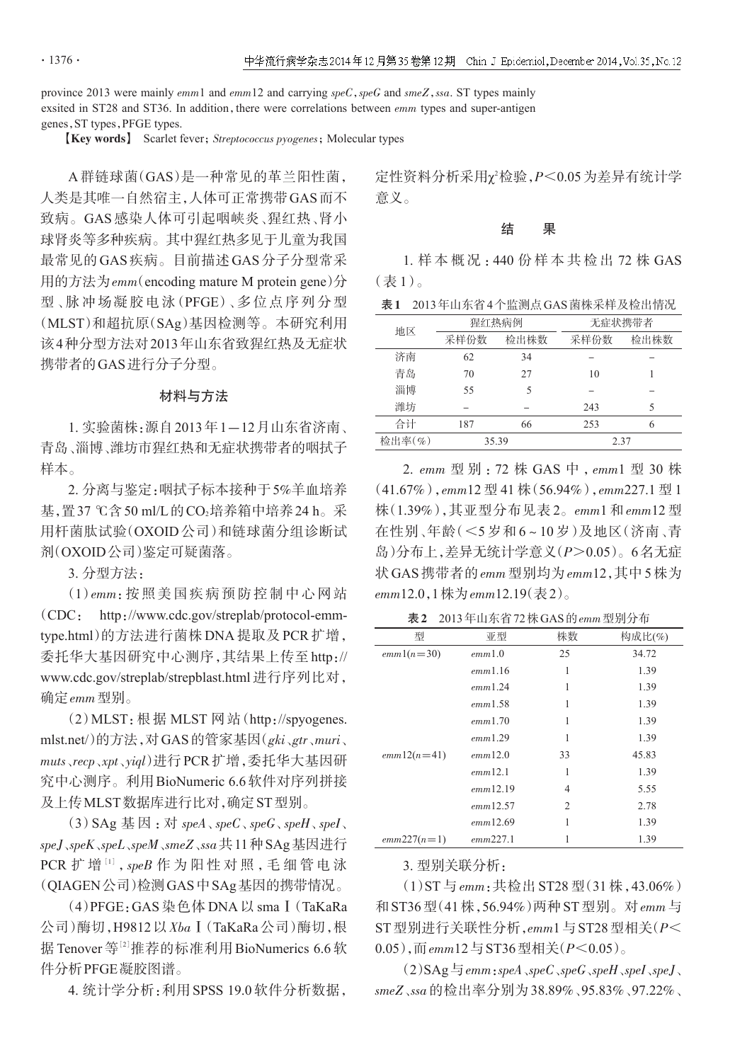province 2013 were mainly  $emm1$  and  $emm12$  and carrying speC, speG and smeZ, ssa. ST types mainly exsited in ST28 and ST36. In addition, there were correlations between  $emm$  types and super-antigen genes,ST types,PFGE types.

**[Key words]** Scarlet fever; Streptococcus pyogenes; Molecular types

A 群链球菌(GAS)是一种常见的革兰阳性菌, 人类是其唯一自然宿主,人体可正常携带GAS而不 致病。GAS 感染人体可引起咽峡炎、猩红热、肾小 球肾炎等多种疾病。其中猩红热多见于儿童为我国 最常见的GAS疾病。目前描述GAS分子分型常采 用的方法为emm(encoding mature M protein gene)分 型、脉冲场凝胶电泳(PFGE)、多位点序列分型 (MLST)和超抗原(SAg)基因检测等。本研究利用 该4种分型方法对2013年山东省致猩红热及无症状 携带者的GAS进行分子分型。

## 材料与方法

1. 实验菌株:源自2013年1-12月山东省济南、 青岛、淄博、潍坊市猩红热和无症状携带者的咽拭子 样本。

2. 分离与鉴定:咽拭子标本接种于5%羊血培养 基,置37 ℃含50 ml/L的CO2培养箱中培养24 h。采 用杆菌肽试验(OXOID 公司)和链球菌分组诊断试 剂(OXOID公司)鉴定可疑菌落。

3. 分型方法:

(1)emm:按照美国疾病预防控制中心网站 (CDC: http://www.cdc.gov/streplab/protocol-emmtype.html)的方法进行菌株 DNA 提取及 PCR 扩增, 委托华大基因研究中心测序,其结果上传至 http:// www.cdc.gov/streplab/strepblast.html 进行序列比对, 确定emm型别。

(2)MLST:根据 MLST 网站(http://spyogenes. mlst.net/)的方法,对GAS的管家基因(gki、gtr、muri、 muts、recp、xpt、yiql)进行PCR扩增,委托华大基因研 究中心测序。利用BioNumeric 6.6软件对序列拼接 及上传MLST数据库进行比对,确定ST型别。

(3) SAg 基因: 对  $speA \, seC \, seG \, seH \, seH$ speJ、speK、speL、speM、smeZ、ssa共11种SAg基因进行 PCR 扩 增 [1], speB 作 为 阳 性 对 照, 毛 细 管 电 泳 (QIAGEN公司)检测GAS中SAg基因的携带情况。

(4)PFGE:GAS 染色体 DNA 以 smaⅠ(TaKaRa 公司)酶切,H9812以XbaⅠ(TaKaRa公司)酶切,根 据 Tenover 等<sup>[2]</sup>推荐的标准利用 BioNumerics 6.6 软 件分析PFGE凝胶图谱。

4. 统计学分析:利用SPSS 19.0软件分析数据,

定性资料分析采用χ<sup>2</sup>检验,*P*<0.05 为差异有统计学 意义。

结 果

1. 样 本 概 况 :440 份 样 本 共 检 出 72 株 GAS (表 1)。

表1 2013年山东省4个监测点GAS菌株采样及检出情况

|      |      | 无症状携带者         |      |  |  |
|------|------|----------------|------|--|--|
| 采样份数 | 检出株数 | 采样份数           | 检出株数 |  |  |
| 62   | 34   |                |      |  |  |
| 70   | 27   | 10             |      |  |  |
| 55   |      |                |      |  |  |
|      |      | 243            | 5    |  |  |
| 187  | 66   | 253            | 6    |  |  |
|      |      | 2.37           |      |  |  |
|      |      | 猩红热病例<br>35.39 |      |  |  |

2. emm 型 别 :72 株 GAS 中 ,emm1 型 30 株 (41.67%),emm12 型 41 株(56.94%),emm227.1 型 1 株(1.39%),其亚型分布见表 2。emm1 和 emm12 型 在性别、年龄(<5 岁和 6~10 岁)及地区(济南、青 岛)分布上,差异无统计学意义(P>0.05)。6名无症 状GAS携带者的emm型别均为emm12,其中5株为  $emm12.0.1$ 株为 $emm12.19$ (表2)。

| 表 2 2013年山东省 72 株 GAS 的 emm 型别分布 |
|----------------------------------|
|----------------------------------|

| 型             | 亚型       | 株数 | 构成比(%) |
|---------------|----------|----|--------|
| $emm1(n=30)$  | emm1.0   | 25 | 34.72  |
|               | emm1.16  | 1  | 1.39   |
|               | emm1.24  | 1  | 1.39   |
|               | emm1.58  | 1  | 1.39   |
|               | emm1.70  | 1  | 1.39   |
|               | emm1.29  | 1  | 1.39   |
| $emm12(n=41)$ | emm12.0  | 33 | 45.83  |
|               | emm12.1  | 1  | 1.39   |
|               | emm12.19 | 4  | 5.55   |
|               | emm12.57 | 2  | 2.78   |
|               | emm12.69 | 1  | 1.39   |
| $emm227(n=1)$ | emm227.1 |    | 1.39   |

3. 型别关联分析:

(1)ST 与 emm:共检出 ST28 型(31 株,43.06%) 和ST36型(41株,56.94%)两种ST型别。对emm与  $ST$ 型别进行关联性分析, $emm1$ 与 $ST28$ 型相关 $(P<$ 0.05),而emm12与ST36型相关(P<0.05)。

 $(2)$ SAg $\equiv$ emm:speA $\sqrt{speC}$  $\sqrt{speG}$  $\sqrt{speH}$  $\sqrt{speJ}$ smeZ、ssa的检出率分别为38.89%、95.83%、97.22%、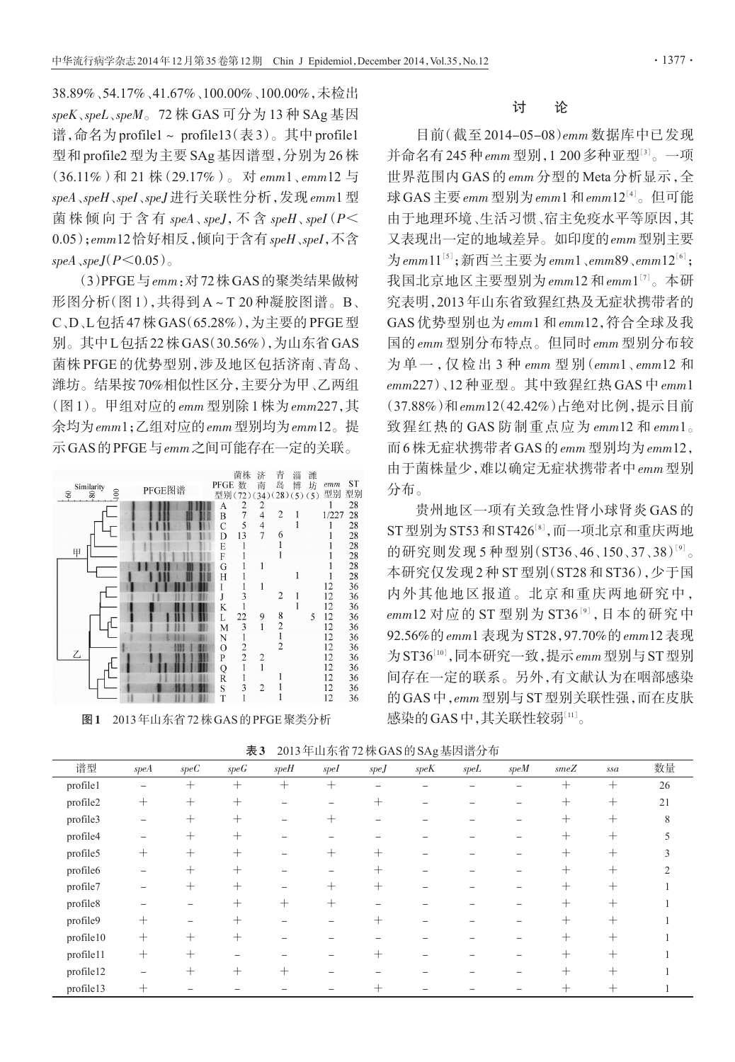38.89%、54.17%、41.67%、100.00%、100.00%,未检出 speK、speL、speM。72 株 GAS 可分为 13 种 SAg 基因 谱,命名为profile1~ profile13(表3)。其中profile1 型和 profile2 型为主要 SAg 基因谱型,分别为 26 株 (36.11%)和 21 株(29.17%)。对 emm1、emm12 与 speA、speH、speI、speJ 进行关联性分析,发现 emm1 型 菌株倾向于含有 speA、speJ, 不含 speH、speI(P< 0.05);emm12恰好相反,倾向于含有speH、speI,不含 speA $\,$ speJ $(P< 0.05)$ 

(3)PFGE与emm:对72株GAS的聚类结果做树 形图分析(图 1),共得到 A~T 20 种凝胶图谱。B、 C、D、L包括47株GAS(65.28%),为主要的PFGE型 别。其中L包括22株GAS(30.56%),为山东省GAS 菌株 PFGE 的优势型别,涉及地区包括济南、青岛、 潍坊。结果按70%相似性区分,主要分为甲、乙两组 (图1)。甲组对应的emm型别除1株为emm227,其 余均为emm1;乙组对应的emm型别均为emm12。提 示GAS的PFGE与emm之间可能存在一定的关联。



图1 2013年山东省72株GAS的PFGE聚类分析

## 讨 论

目前(截至 2014-05-08)emm 数据库中已发现 并命名有 245 种 emm 型别, 1 200 多种亚型<sup>[3]</sup>。一项 世界范围内 GAS 的 emm 分型的 Meta 分析显示,全 球 GAS 主要 emm 型别为 emm1 和 emm12[4]。但可能 由于地理环境、生活习惯、宿主免疫水平等原因,其 又表现出一定的地域差异。如印度的emm型别主要 为emm $11^{\text{\tiny{[5]}}}; \mathfrak{M} \cong \pm \mathfrak{B} \mathfrak{H}$ emm $1$ 、emm $89$ 、emm $12^{\text{\tiny{[6]}}};$ 我国北京地区主要型别为 $_{emm}$ 12 和 $_{emm1}$ [7]。本研 究表明,2013年山东省致猩红热及无症状携带者的 GAS 优势型别也为 emm1 和 emm12,符合全球及我 国的 emm 型别分布特点。但同时 emm 型别分布较 为 单 一 ,仅 检 出 3 种 emm 型 别(emm1、emm12 和 emm227)、12 种亚型。其中致猩红热 GAS 中 emm1 (37.88%)和emm12(42.42%)占绝对比例,提示目前 致猩红热的 GAS 防制重点应为  $emm12$  和 $emm1$ 。 而6株无症状携带者GAS的emm型别均为emm12, 由于菌株量少,难以确定无症状携带者中emm型别 分布。

贵州地区一项有关致急性肾小球肾炎 GAS 的 ST 型别为 ST53 和 ST426[8], 而一项北京和重庆两地 的研究则发现 5 种型别(ST36、46、150、37、38)<sup>[9]</sup>。 本研究仅发现 2 种 ST 型别(ST28 和 ST36),少于国 内外其他地区报道。北京和重庆两地研究中,  $emm12$  对应的 ST 型别为 ST36<sup>[9]</sup>, 日本的研究中 92.56%的 emm1 表现为 ST28,97.70%的 emm12 表现 为 ST36[10], 同本研究一致, 提示 emm 型别与 ST 型别 间存在一定的联系。另外,有文献认为在咽部感染 的GAS中,emm型别与ST型别关联性强,而在皮肤 感染的GAS中,其关联性较弱 $^{\left[11\right]}$ 。

表3 2013年山东省72株GAS的SAg基因谱分布

|           |                          |        |                 |        | .      |        | $\sim$ $ \cdot$ | .       |      |                 |        |    |
|-----------|--------------------------|--------|-----------------|--------|--------|--------|-----------------|---------|------|-----------------|--------|----|
| 谱型        | speA                     | speC   | $speG$          | $speH$ | spel   | $speJ$ | $speK$          | $spel.$ | speM | $\mathit{smeZ}$ | $ssa$  | 数量 |
| profile1  | $\qquad \qquad -$        | $^{+}$ | $^{+}$          | $^{+}$ | $^{+}$ |        |                 |         |      | $^{+}$          | $^{+}$ | 26 |
| profile2  | $^{+}$                   | $+$    | $+$             |        |        | $^+$   |                 |         |      | $+$             | $+$    | 21 |
| profile3  |                          | $^{+}$ | $^{+}$          |        | $^+$   |        |                 |         |      | $^{+}$          | $+$    | 8  |
| profile4  | $\overline{\phantom{m}}$ | $^{+}$ | $^{+}$          |        |        |        |                 |         |      | $^+$            | $+$    |    |
| profile5  | $^{+}$                   | $+$    | $+$             |        | $^{+}$ | $^{+}$ |                 |         |      | $^{+}$          | $+$    |    |
| profile6  |                          | $^{+}$ | $+$             |        |        | $^{+}$ |                 |         |      | $\pm$           | $+$    |    |
| profile7  |                          | $^{+}$ | $^{+}$          |        | $^{+}$ | $^{+}$ |                 |         |      | $^+$            | $+$    |    |
| profile8  |                          |        | $^{+}$          | $^{+}$ | $^{+}$ |        |                 |         |      | $^{+}$          | $+$    |    |
| profile9  | $+$                      |        | ┿               |        |        |        |                 |         |      | $^+$            | $+$    |    |
| profile10 | $^{+}$                   | $^{+}$ | $\pm$           |        |        |        |                 |         |      | $^{+}$          | $+$    |    |
| profile11 | $^{+}$                   | $+$    |                 |        |        | $^+$   |                 |         |      | $^{+}$          | $+$    |    |
| profile12 | $\overline{\phantom{0}}$ | $^{+}$ | $^{\mathrm{+}}$ | $^+$   |        |        |                 |         |      | $^{+}$          | $+$    |    |
| profile13 | $^{+}$                   |        |                 |        |        |        |                 |         |      | $^+$            | $\, +$ |    |